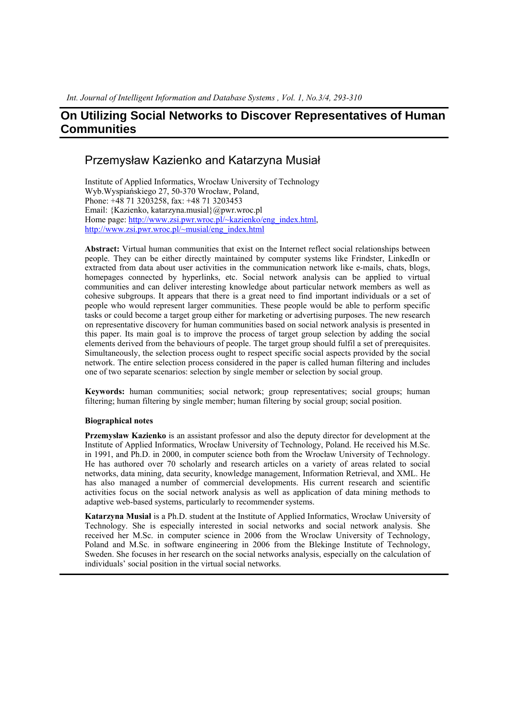# Przemysław Kazienko and Katarzyna Musiał

Institute of Applied Informatics, Wrocław University of Technology Wyb.Wyspiańskiego 27, 50-370 Wrocław, Poland, Phone: +48 71 3203258, fax: +48 71 3203453 Email: {Kazienko, katarzyna.musial}@pwr.wroc.pl Home page: http://www.zsi.pwr.wroc.pl/~kazienko/eng\_index.html, http://www.zsi.pwr.wroc.pl/~musial/eng\_index.html

**Abstract:** Virtual human communities that exist on the Internet reflect social relationships between people. They can be either directly maintained by computer systems like Frindster, LinkedIn or extracted from data about user activities in the communication network like e-mails, chats, blogs, homepages connected by hyperlinks, etc. Social network analysis can be applied to virtual communities and can deliver interesting knowledge about particular network members as well as cohesive subgroups. It appears that there is a great need to find important individuals or a set of people who would represent larger communities. These people would be able to perform specific tasks or could become a target group either for marketing or advertising purposes. The new research on representative discovery for human communities based on social network analysis is presented in this paper. Its main goal is to improve the process of target group selection by adding the social elements derived from the behaviours of people. The target group should fulfil a set of prerequisites. Simultaneously, the selection process ought to respect specific social aspects provided by the social network. The entire selection process considered in the paper is called human filtering and includes one of two separate scenarios: selection by single member or selection by social group.

**Keywords:** human communities; social network; group representatives; social groups; human filtering; human filtering by single member; human filtering by social group; social position.

#### **Biographical notes**

**Przemysław Kazienko** is an assistant professor and also the deputy director for development at the Institute of Applied Informatics, Wrocław University of Technology, Poland. He received his M.Sc. in 1991, and Ph.D. in 2000, in computer science both from the Wrocław University of Technology. He has authored over 70 scholarly and research articles on a variety of areas related to social networks, data mining, data security, knowledge management, Information Retrieval, and XML. He has also managed a number of commercial developments. His current research and scientific activities focus on the social network analysis as well as application of data mining methods to adaptive web-based systems, particularly to recommender systems.

**Katarzyna Musiał** is a Ph.D. student at the Institute of Applied Informatics, Wrocław University of Technology. She is especially interested in social networks and social network analysis. She received her M.Sc. in computer science in 2006 from the Wroclaw University of Technology, Poland and M.Sc. in software engineering in 2006 from the Blekinge Institute of Technology, Sweden. She focuses in her research on the social networks analysis, especially on the calculation of individuals' social position in the virtual social networks.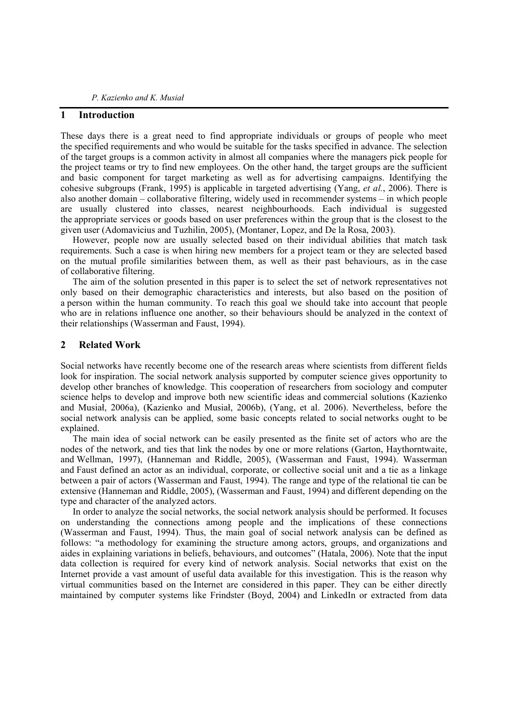## **1 Introduction**

These days there is a great need to find appropriate individuals or groups of people who meet the specified requirements and who would be suitable for the tasks specified in advance. The selection of the target groups is a common activity in almost all companies where the managers pick people for the project teams or try to find new employees. On the other hand, the target groups are the sufficient and basic component for target marketing as well as for advertising campaigns. Identifying the cohesive subgroups (Frank, 1995) is applicable in targeted advertising (Yang, *et al.*, 2006). There is also another domain – collaborative filtering, widely used in recommender systems – in which people are usually clustered into classes, nearest neighbourhoods. Each individual is suggested the appropriate services or goods based on user preferences within the group that is the closest to the given user (Adomavicius and Tuzhilin, 2005), (Montaner, Lopez, and De la Rosa, 2003).

However, people now are usually selected based on their individual abilities that match task requirements. Such a case is when hiring new members for a project team or they are selected based on the mutual profile similarities between them, as well as their past behaviours, as in the case of collaborative filtering.

The aim of the solution presented in this paper is to select the set of network representatives not only based on their demographic characteristics and interests, but also based on the position of a person within the human community. To reach this goal we should take into account that people who are in relations influence one another, so their behaviours should be analyzed in the context of their relationships (Wasserman and Faust, 1994).

## **2 Related Work**

Social networks have recently become one of the research areas where scientists from different fields look for inspiration. The social network analysis supported by computer science gives opportunity to develop other branches of knowledge. This cooperation of researchers from sociology and computer science helps to develop and improve both new scientific ideas and commercial solutions (Kazienko and Musiał, 2006a), (Kazienko and Musiał, 2006b), (Yang, et al. 2006). Nevertheless, before the social network analysis can be applied, some basic concepts related to social networks ought to be explained.

The main idea of social network can be easily presented as the finite set of actors who are the nodes of the network, and ties that link the nodes by one or more relations (Garton, Haythorntwaite, and Wellman, 1997), (Hanneman and Riddle, 2005), (Wasserman and Faust, 1994). Wasserman and Faust defined an actor as an individual, corporate, or collective social unit and a tie as a linkage between a pair of actors (Wasserman and Faust, 1994). The range and type of the relational tie can be extensive (Hanneman and Riddle, 2005), (Wasserman and Faust, 1994) and different depending on the type and character of the analyzed actors.

In order to analyze the social networks, the social network analysis should be performed. It focuses on understanding the connections among people and the implications of these connections (Wasserman and Faust, 1994). Thus, the main goal of social network analysis can be defined as follows: "a methodology for examining the structure among actors, groups, and organizations and aides in explaining variations in beliefs, behaviours, and outcomes" (Hatala, 2006). Note that the input data collection is required for every kind of network analysis. Social networks that exist on the Internet provide a vast amount of useful data available for this investigation. This is the reason why virtual communities based on the Internet are considered in this paper. They can be either directly maintained by computer systems like Frindster (Boyd, 2004) and LinkedIn or extracted from data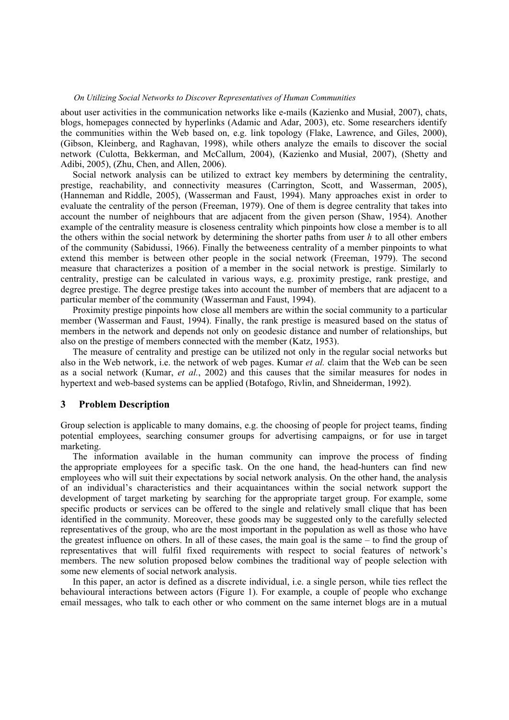about user activities in the communication networks like e-mails (Kazienko and Musiał, 2007), chats, blogs, homepages connected by hyperlinks (Adamic and Adar, 2003), etc. Some researchers identify the communities within the Web based on, e.g. link topology (Flake, Lawrence, and Giles, 2000), (Gibson, Kleinberg, and Raghavan, 1998), while others analyze the emails to discover the social network (Culotta, Bekkerman, and McCallum, 2004), (Kazienko and Musiał, 2007), (Shetty and Adibi, 2005), (Zhu, Chen, and Allen, 2006).

Social network analysis can be utilized to extract key members by determining the centrality, prestige, reachability, and connectivity measures (Carrington, Scott, and Wasserman, 2005), (Hanneman and Riddle, 2005), (Wasserman and Faust, 1994). Many approaches exist in order to evaluate the centrality of the person (Freeman, 1979). One of them is degree centrality that takes into account the number of neighbours that are adjacent from the given person (Shaw, 1954). Another example of the centrality measure is closeness centrality which pinpoints how close a member is to all the others within the social network by determining the shorter paths from user *h* to all other embers of the community (Sabidussi, 1966). Finally the betweeness centrality of a member pinpoints to what extend this member is between other people in the social network (Freeman, 1979). The second measure that characterizes a position of a member in the social network is prestige. Similarly to centrality, prestige can be calculated in various ways, e.g. proximity prestige, rank prestige, and degree prestige. The degree prestige takes into account the number of members that are adjacent to a particular member of the community (Wasserman and Faust, 1994).

Proximity prestige pinpoints how close all members are within the social community to a particular member (Wasserman and Faust, 1994). Finally, the rank prestige is measured based on the status of members in the network and depends not only on geodesic distance and number of relationships, but also on the prestige of members connected with the member (Katz, 1953).

The measure of centrality and prestige can be utilized not only in the regular social networks but also in the Web network, i.e. the network of web pages. Kumar *et al.* claim that the Web can be seen as a social network (Kumar, *et al.*, 2002) and this causes that the similar measures for nodes in hypertext and web-based systems can be applied (Botafogo, Rivlin, and Shneiderman, 1992).

### **3 Problem Description**

Group selection is applicable to many domains, e.g. the choosing of people for project teams, finding potential employees, searching consumer groups for advertising campaigns, or for use in target marketing.

The information available in the human community can improve the process of finding the appropriate employees for a specific task. On the one hand, the head-hunters can find new employees who will suit their expectations by social network analysis. On the other hand, the analysis of an individual's characteristics and their acquaintances within the social network support the development of target marketing by searching for the appropriate target group. For example, some specific products or services can be offered to the single and relatively small clique that has been identified in the community. Moreover, these goods may be suggested only to the carefully selected representatives of the group, who are the most important in the population as well as those who have the greatest influence on others. In all of these cases, the main goal is the same – to find the group of representatives that will fulfil fixed requirements with respect to social features of network's members. The new solution proposed below combines the traditional way of people selection with some new elements of social network analysis.

In this paper, an actor is defined as a discrete individual, i.e. a single person, while ties reflect the behavioural interactions between actors (Figure 1). For example, a couple of people who exchange email messages, who talk to each other or who comment on the same internet blogs are in a mutual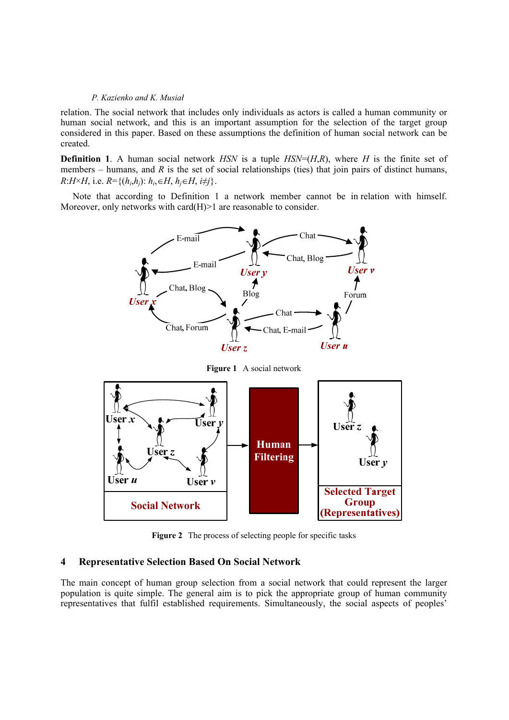relation. The social network that includes only individuals as actors is called a human community or human social network, and this is an important assumption for the selection of the target group considered in this paper. Based on these assumptions the definition of human social network can be created.

**Definition 1**. A human social network *HSN* is a tuple *HSN*=(*H,R*), where *H* is the finite set of members – humans, and  $R$  is the set of social relationships (ties) that join pairs of distinct humans, *R*:*H*×*H*, i.e. *R*={( $h_i$ , $h_j$ ):  $h_i$ ,∈*H*,  $h_j \in H$ ,  $i \neq j$ }.

Note that according to Definition 1 a network member cannot be in relation with himself. Moreover, only networks with card(H) > 1 are reasonable to consider.



**Figure 2** The process of selecting people for specific tasks

## **4 Representative Selection Based On Social Network**

The main concept of human group selection from a social network that could represent the larger population is quite simple. The general aim is to pick the appropriate group of human community representatives that fulfil established requirements. Simultaneously, the social aspects of peoples'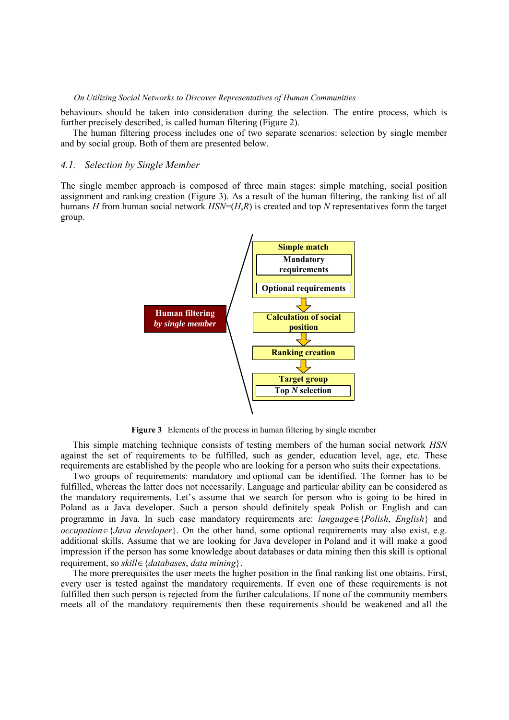behaviours should be taken into consideration during the selection. The entire process, which is further precisely described, is called human filtering (Figure 2).

The human filtering process includes one of two separate scenarios: selection by single member and by social group. Both of them are presented below.

### *4.1. Selection by Single Member*

The single member approach is composed of three main stages: simple matching, social position assignment and ranking creation (Figure 3). As a result of the human filtering, the ranking list of all humans *H* from human social network *HSN*=(*H*,*R*) is created and top *N* representatives form the target group.



**Figure 3** Elements of the process in human filtering by single member

This simple matching technique consists of testing members of the human social network *HSN* against the set of requirements to be fulfilled, such as gender, education level, age, etc. These requirements are established by the people who are looking for a person who suits their expectations.

Two groups of requirements: mandatory and optional can be identified. The former has to be fulfilled, whereas the latter does not necessarily. Language and particular ability can be considered as the mandatory requirements. Let's assume that we search for person who is going to be hired in Poland as a Java developer. Such a person should definitely speak Polish or English and can programme in Java. In such case mandatory requirements are: *language*∈{*Polish*, *English*} and *occupation*∈{*Java developer*}. On the other hand, some optional requirements may also exist, e.g. additional skills. Assume that we are looking for Java developer in Poland and it will make a good impression if the person has some knowledge about databases or data mining then this skill is optional requirement, so *skill*∈{*databases*, *data mining*}.

The more prerequisites the user meets the higher position in the final ranking list one obtains. First, every user is tested against the mandatory requirements. If even one of these requirements is not fulfilled then such person is rejected from the further calculations. If none of the community members meets all of the mandatory requirements then these requirements should be weakened and all the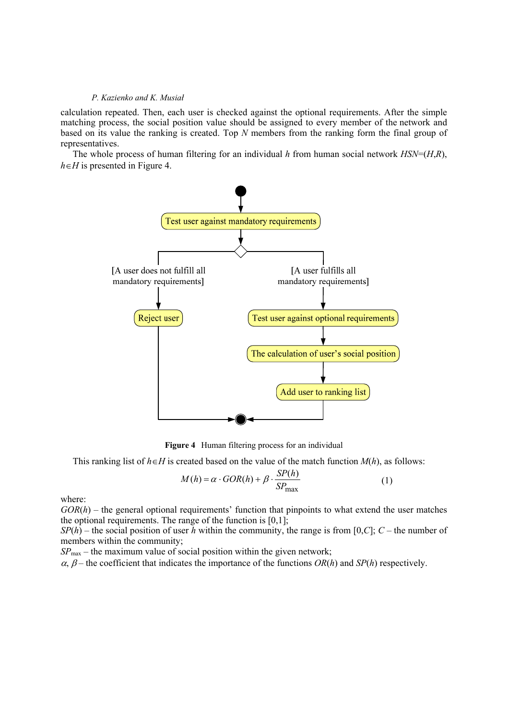calculation repeated. Then, each user is checked against the optional requirements. After the simple matching process, the social position value should be assigned to every member of the network and based on its value the ranking is created. Top *N* members from the ranking form the final group of representatives.

The whole process of human filtering for an individual *h* from human social network *HSN*=(*H*,*R*), *h*∈*H* is presented in Figure 4.



**Figure 4** Human filtering process for an individual

This ranking list of  $h \in H$  is created based on the value of the match function  $M(h)$ , as follows:

$$
M(h) = \alpha \cdot GOR(h) + \beta \cdot \frac{SP(h)}{SP_{\text{max}}}
$$
 (1)

where:

 $GOR(h)$  – the general optional requirements' function that pinpoints to what extend the user matches the optional requirements. The range of the function is  $[0,1]$ .

*SP*(*h*) – the social position of user *h* within the community, the range is from [0,*C*]; *C* – the number of members within the community;

*SP*max – the maximum value of social position within the given network;

 $\alpha$ ,  $\beta$  – the coefficient that indicates the importance of the functions  $OR(h)$  and  $SP(h)$  respectively.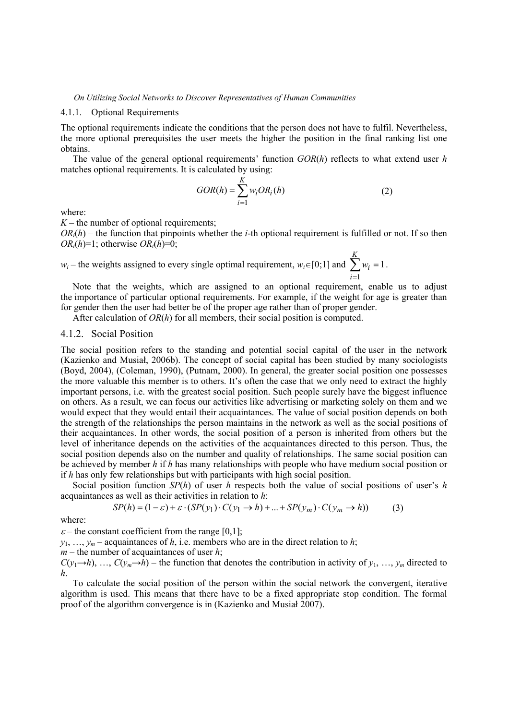## 4.1.1. Optional Requirements

The optional requirements indicate the conditions that the person does not have to fulfil. Nevertheless, the more optional prerequisites the user meets the higher the position in the final ranking list one obtains.

The value of the general optional requirements' function *GOR*(*h*) reflects to what extend user *h* matches optional requirements. It is calculated by using:

$$
GOR(h) = \sum_{i=1}^{K} w_i OR_i(h)
$$
 (2)

where:

 $K$  – the number of optional requirements;

 $OR<sub>i</sub>(h)$  – the function that pinpoints whether the *i*-th optional requirement is fulfilled or not. If so then  $OR_i(h)=1$ ; otherwise  $OR_i(h)=0$ ;

*w<sub>i</sub>* – the weights assigned to every single optimal requirement, *w<sub>i</sub>*∈[0;1] and  $\sum w_i$  = = *K i*  $w_i = 1$ . 1

Note that the weights, which are assigned to an optional requirement, enable us to adjust the importance of particular optional requirements. For example, if the weight for age is greater than for gender then the user had better be of the proper age rather than of proper gender.

After calculation of *OR*(*h*) for all members, their social position is computed.

# 4.1.2. Social Position

The social position refers to the standing and potential social capital of the user in the network (Kazienko and Musiał, 2006b). The concept of social capital has been studied by many sociologists (Boyd, 2004), (Coleman, 1990), (Putnam, 2000). In general, the greater social position one possesses the more valuable this member is to others. It's often the case that we only need to extract the highly important persons, i.e. with the greatest social position. Such people surely have the biggest influence on others. As a result, we can focus our activities like advertising or marketing solely on them and we would expect that they would entail their acquaintances. The value of social position depends on both the strength of the relationships the person maintains in the network as well as the social positions of their acquaintances. In other words, the social position of a person is inherited from others but the level of inheritance depends on the activities of the acquaintances directed to this person. Thus, the social position depends also on the number and quality of relationships. The same social position can be achieved by member *h* if *h* has many relationships with people who have medium social position or if *h* has only few relationships but with participants with high social position.

Social position function *SP*(*h*) of user *h* respects both the value of social positions of user's *h* acquaintances as well as their activities in relation to *h*:

$$
SP(h) = (1 - \varepsilon) + \varepsilon \cdot (SP(y_1) \cdot C(y_1 \to h) + \dots + SP(y_m) \cdot C(y_m \to h)) \tag{3}
$$

where:

 $\varepsilon$  – the constant coefficient from the range [0,1];

 $y_1, \ldots, y_m$  – acquaintances of *h*, i.e. members who are in the direct relation to *h*;

*m* – the number of acquaintances of user *h*;

 $C(y_1 \rightarrow h)$ , …,  $C(y_m \rightarrow \hat{h})$  – the function that denotes the contribution in activity of  $y_1, \ldots, y_m$  directed to *h*.

To calculate the social position of the person within the social network the convergent, iterative algorithm is used. This means that there have to be a fixed appropriate stop condition. The formal proof of the algorithm convergence is in (Kazienko and Musiał 2007).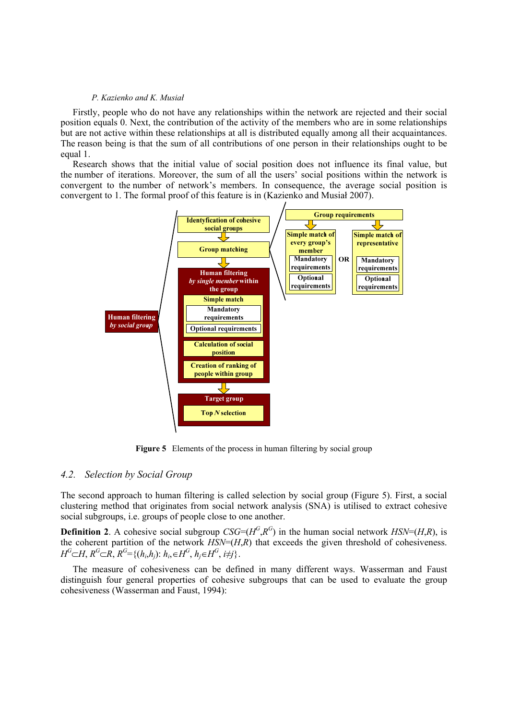Firstly, people who do not have any relationships within the network are rejected and their social position equals 0. Next, the contribution of the activity of the members who are in some relationships but are not active within these relationships at all is distributed equally among all their acquaintances. The reason being is that the sum of all contributions of one person in their relationships ought to be equal 1.

Research shows that the initial value of social position does not influence its final value, but the number of iterations. Moreover, the sum of all the users' social positions within the network is convergent to the number of network's members. In consequence, the average social position is convergent to 1. The formal proof of this feature is in (Kazienko and Musiał 2007).



**Figure 5** Elements of the process in human filtering by social group

## *4.2. Selection by Social Group*

The second approach to human filtering is called selection by social group (Figure 5). First, a social clustering method that originates from social network analysis (SNA) is utilised to extract cohesive social subgroups, i.e. groups of people close to one another.

**Definition 2**. A cohesive social subgroup *CSG*=( $H<sup>G</sup>, R<sup>G</sup>$ ) in the human social network  $HSN=(H,R)$ , is the coherent partition of the network  $\hat{HSN}=(H,R)$  that exceeds the given threshold of cohesiveness. *H*<sup>G</sup>⊂*H*,  $R^G$ ⊂ $R$ ,  $R^G$ ={( $h_i$ , $h_i$ ):  $h_i$ ,∈ $H^G$ ,  $h_i ∈ H^G$ ,  $i \neq j$ }.

The measure of cohesiveness can be defined in many different ways. Wasserman and Faust distinguish four general properties of cohesive subgroups that can be used to evaluate the group cohesiveness (Wasserman and Faust, 1994):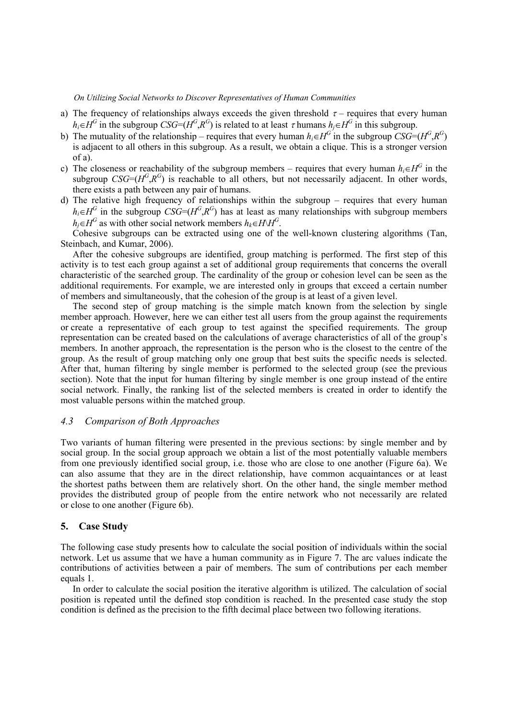- a) The frequency of relationships always exceeds the given threshold  $\tau$  requires that every human  $h_i ∈ H^G$  in the subgroup *CSG*= $(H^G, R^G)$  is related to at least  $\tau$  humans  $h_i ∈ H^G$  in this subgroup.
- b) The mutuality of the relationship requires that every human  $h_i \in H^G$  in the subgroup  $\overline{CSG} = (H^G, R^G)$ is adjacent to all others in this subgroup. As a result, we obtain a clique. This is a stronger version of a).
- c) The closeness or reachability of the subgroup members requires that every human  $h_i \in H^G$  in the subgroup *CSG*= $(H^G, R^G)$  is reachable to all others, but not necessarily adjacent. In other words, there exists a path between any pair of humans.
- d) The relative high frequency of relationships within the subgroup requires that every human  $h_i \in H^G$  in the subgroup *CSG*=( $H^G, R^G$ ) has at least as many relationships with subgroup members *h*<sub>i</sub>∈*H<sup>G</sup>* as with other social network members  $h_k ∈ H\ H^G$ .

Cohesive subgroups can be extracted using one of the well-known clustering algorithms (Tan, Steinbach, and Kumar, 2006).

After the cohesive subgroups are identified, group matching is performed. The first step of this activity is to test each group against a set of additional group requirements that concerns the overall characteristic of the searched group. The cardinality of the group or cohesion level can be seen as the additional requirements. For example, we are interested only in groups that exceed a certain number of members and simultaneously, that the cohesion of the group is at least of a given level.

The second step of group matching is the simple match known from the selection by single member approach. However, here we can either test all users from the group against the requirements or create a representative of each group to test against the specified requirements. The group representation can be created based on the calculations of average characteristics of all of the group's members. In another approach, the representation is the person who is the closest to the centre of the group. As the result of group matching only one group that best suits the specific needs is selected. After that, human filtering by single member is performed to the selected group (see the previous section). Note that the input for human filtering by single member is one group instead of the entire social network. Finally, the ranking list of the selected members is created in order to identify the most valuable persons within the matched group.

# *4.3 Comparison of Both Approaches*

Two variants of human filtering were presented in the previous sections: by single member and by social group. In the social group approach we obtain a list of the most potentially valuable members from one previously identified social group, i.e. those who are close to one another (Figure 6a). We can also assume that they are in the direct relationship, have common acquaintances or at least the shortest paths between them are relatively short. On the other hand, the single member method provides the distributed group of people from the entire network who not necessarily are related or close to one another (Figure 6b).

## **5. Case Study**

The following case study presents how to calculate the social position of individuals within the social network. Let us assume that we have a human community as in Figure 7. The arc values indicate the contributions of activities between a pair of members. The sum of contributions per each member equals 1.

In order to calculate the social position the iterative algorithm is utilized. The calculation of social position is repeated until the defined stop condition is reached. In the presented case study the stop condition is defined as the precision to the fifth decimal place between two following iterations.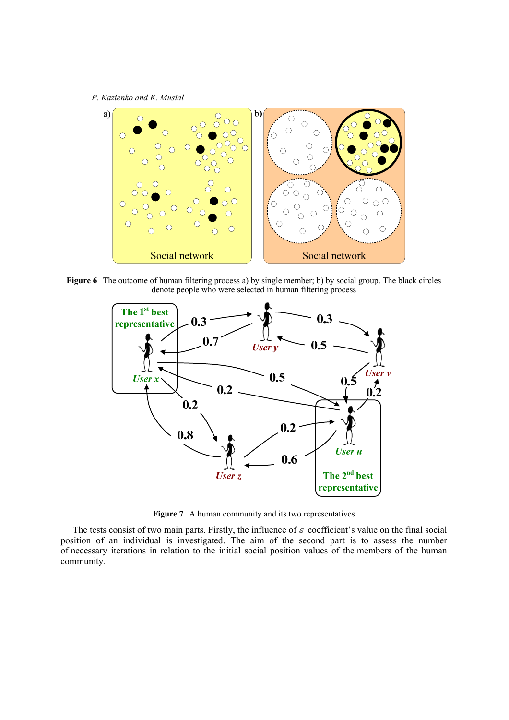*P. Kazienko and K. Musiał*



**Figure 6** The outcome of human filtering process a) by single member; b) by social group. The black circles denote people who were selected in human filtering process



**Figure 7** A human community and its two representatives

The tests consist of two main parts. Firstly, the influence of  $\varepsilon$  coefficient's value on the final social position of an individual is investigated. The aim of the second part is to assess the number of necessary iterations in relation to the initial social position values of the members of the human community.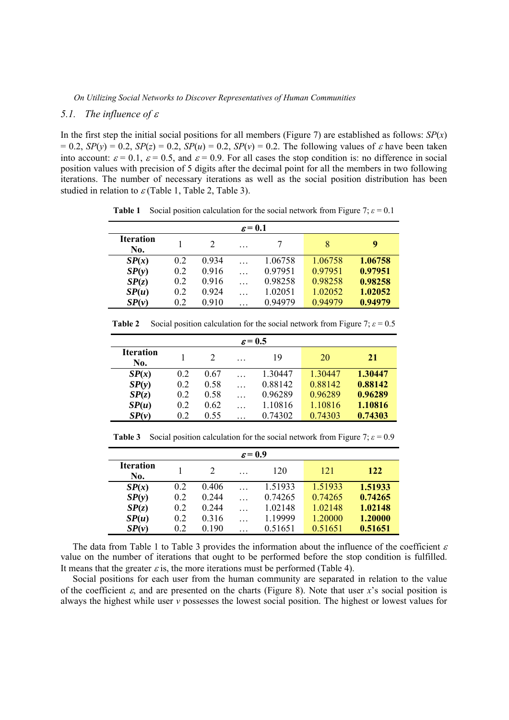## *5.1. The influence of* <sup>ε</sup>

In the first step the initial social positions for all members (Figure 7) are established as follows:  $SP(x)$  $= 0.2$ ,  $SP(y) = 0.2$ ,  $SP(z) = 0.2$ ,  $SP(u) = 0.2$ ,  $SP(v) = 0.2$ . The following values of  $\varepsilon$  have been taken into account:  $\varepsilon = 0.1$ ,  $\varepsilon = 0.5$ , and  $\varepsilon = 0.9$ . For all cases the stop condition is: no difference in social position values with precision of 5 digits after the decimal point for all the members in two following iterations. The number of necessary iterations as well as the social position distribution has been studied in relation to  $\varepsilon$  (Table 1, Table 2, Table 3).

**Table 1** Social position calculation for the social network from Figure 7;  $\varepsilon = 0.1$ 

| $\varepsilon = 0.1$     |     |       |   |         |             |         |  |
|-------------------------|-----|-------|---|---------|-------------|---------|--|
| <b>Iteration</b><br>No. |     | 2     | . | 7       | 8           | 9       |  |
| SP(x)                   | 0.2 | 0.934 |   | 1.06758 | 1.06758     | 1.06758 |  |
| SP(y)                   | 0.2 | 0.916 |   | 0.97951 | 0.97951     | 0.97951 |  |
| SP(z)                   | 0.2 | 0.916 |   | 0.98258 | 0.98258     | 0.98258 |  |
| SP(u)                   | 0.2 | 0.924 |   | 1.02051 | 1.02052     | 1.02052 |  |
| SP(v)                   | 0.2 | 0.910 |   | 0 94979 | 0 9 4 9 7 9 | 0.94979 |  |

| $\varepsilon$ = 0.5     |     |      |  |         |         |         |  |
|-------------------------|-----|------|--|---------|---------|---------|--|
| <b>Iteration</b><br>No. |     | 2    |  | 19      | 20      | 21      |  |
| SP(x)                   | 0.2 | 0.67 |  | 1.30447 | 1 30447 | 1.30447 |  |
| SP(y)                   | 0.2 | 0.58 |  | 0.88142 | 0.88142 | 0.88142 |  |
| SP(z)                   | 0.2 | 0.58 |  | 0.96289 | 0.96289 | 0.96289 |  |
| SP(u)                   | 0.2 | 0.62 |  | 1.10816 | 1.10816 | 1.10816 |  |
| SP(v)                   | 0.2 | 0.55 |  | 0.74302 | 0.74303 | 0.74303 |  |

**Table 2** Social position calculation for the social network from Figure 7:  $\varepsilon = 0.5$ 

**Table 3** Social position calculation for the social network from Figure 7;  $\varepsilon = 0.9$ 

| $\varepsilon$ = 0.9     |                |       |   |         |         |         |  |  |
|-------------------------|----------------|-------|---|---------|---------|---------|--|--|
| <b>Iteration</b><br>No. |                |       | . | 120     | 121     | 122     |  |  |
| SP(x)                   | 0.2            | 0.406 |   | 1.51933 | 1.51933 | 1.51933 |  |  |
| SP(y)                   | 02             | 0 244 |   | 0.74265 | 0.74265 | 0.74265 |  |  |
| SP(z)                   | 0.2            | 0 244 |   | 1.02148 | 1.02148 | 1.02148 |  |  |
| SP(u)                   | 0.2            | 0.316 |   | 1.19999 | 1.20000 | 1.20000 |  |  |
| SP(v)                   | 0 <sub>2</sub> | 0.190 |   | 0.51651 | 0.51651 | 0.51651 |  |  |

The data from Table 1 to Table 3 provides the information about the influence of the coefficient  $\varepsilon$ value on the number of iterations that ought to be performed before the stop condition is fulfilled. It means that the greater  $\varepsilon$  is, the more iterations must be performed (Table 4).

Social positions for each user from the human community are separated in relation to the value of the coefficient  $\varepsilon$ , and are presented on the charts (Figure 8). Note that user *x*'s social position is always the highest while user *v* possesses the lowest social position. The highest or lowest values for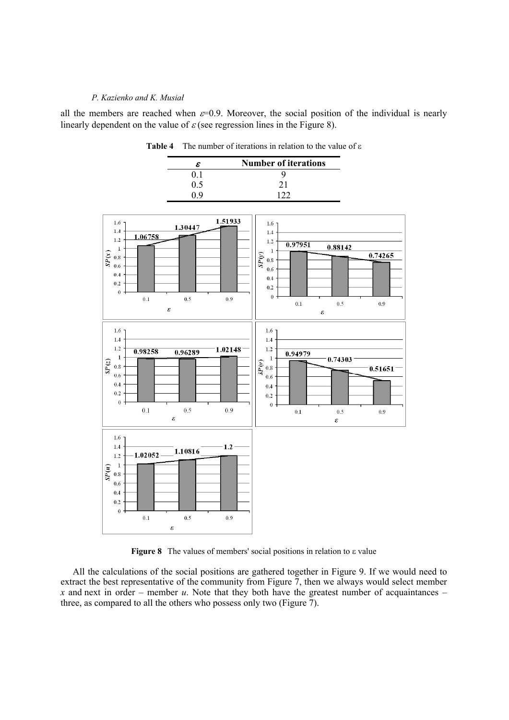all the members are reached when  $\varepsilon=0.9$ . Moreover, the social position of the individual is nearly linearly dependent on the value of  $\varepsilon$  (see regression lines in the Figure 8).



**Table 4** The number of iterations in relation to the value of ε

**Figure 8** The values of members' social positions in relation to ε value

All the calculations of the social positions are gathered together in Figure 9. If we would need to extract the best representative of the community from Figure 7, then we always would select member *x* and next in order – member *u*. Note that they both have the greatest number of acquaintances – three, as compared to all the others who possess only two (Figure 7).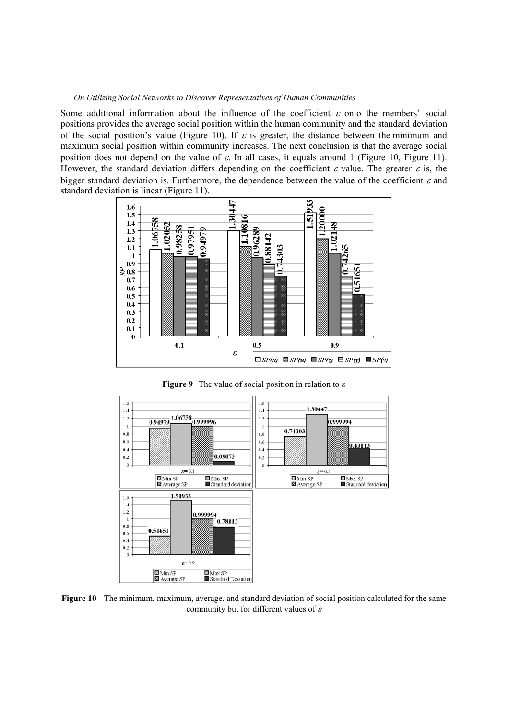Some additional information about the influence of the coefficient  $\varepsilon$  onto the members' social positions provides the average social position within the human community and the standard deviation of the social position's value (Figure 10). If  $\varepsilon$  is greater, the distance between the minimum and maximum social position within community increases. The next conclusion is that the average social position does not depend on the value of  $\varepsilon$ . In all cases, it equals around 1 (Figure 10, Figure 11). However, the standard deviation differs depending on the coefficient  $\varepsilon$  value. The greater  $\varepsilon$  is, the bigger standard deviation is. Furthermore, the dependence between the value of the coefficient  $\varepsilon$  and standard deviation is linear (Figure 11).



**Figure 9** The value of social position in relation to ε



**Figure 10** The minimum, maximum, average, and standard deviation of social position calculated for the same community but for different values of  $\varepsilon$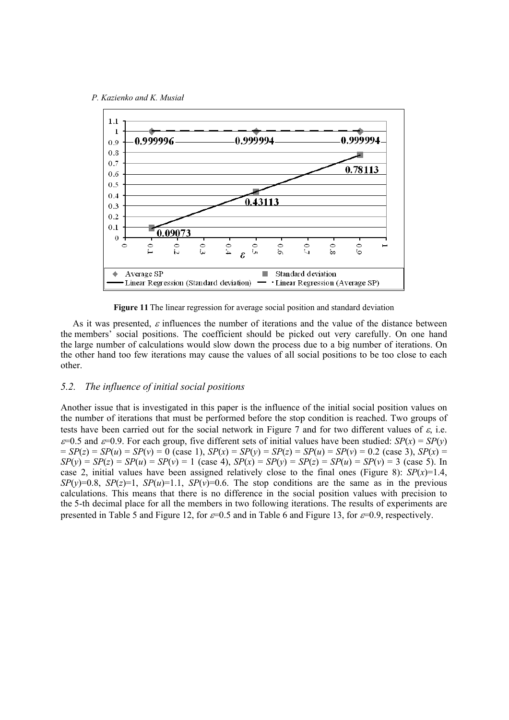

**Figure 11** The linear regression for average social position and standard deviation

As it was presented,  $\varepsilon$  influences the number of iterations and the value of the distance between the members' social positions. The coefficient should be picked out very carefully. On one hand the large number of calculations would slow down the process due to a big number of iterations. On the other hand too few iterations may cause the values of all social positions to be too close to each other.

# *5.2. The influence of initial social positions*

Another issue that is investigated in this paper is the influence of the initial social position values on the number of iterations that must be performed before the stop condition is reached. Two groups of tests have been carried out for the social network in Figure 7 and for two different values of  $\varepsilon$ , i.e.  $\varepsilon$ =0.5 and  $\varepsilon$ =0.9. For each group, five different sets of initial values have been studied: *SP*(*x*) = *SP*(*y*)  $= SP(z) = SP(u) = SP(v) = 0$  (case 1),  $SP(x) = SP(y) = SP(z) = SP(u) = SP(v) = 0.2$  (case 3),  $SP(x) =$  $SP(y) = SP(z) = SP(u) = SP(v) = 1$  (case 4),  $SP(x) = SP(y) = SP(z) = SP(u) = SP(v) = 3$  (case 5). In case 2, initial values have been assigned relatively close to the final ones (Figure 8):  $SP(x)=1.4$ ,  $SP(y)=0.8$ ,  $SP(z)=1$ ,  $SP(u)=1.1$ ,  $SP(v)=0.6$ . The stop conditions are the same as in the previous calculations. This means that there is no difference in the social position values with precision to the 5-th decimal place for all the members in two following iterations. The results of experiments are presented in Table 5 and Figure 12, for  $\varepsilon=0.5$  and in Table 6 and Figure 13, for  $\varepsilon=0.9$ , respectively.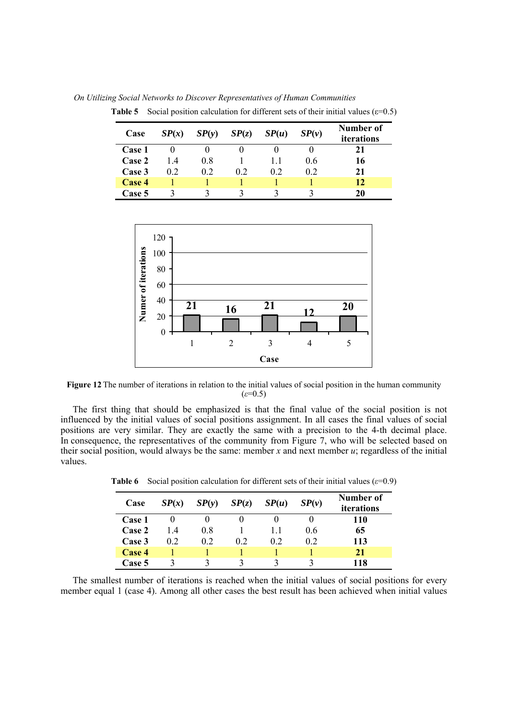*On Utilizing Social Networks to Discover Representatives of Human Communities*

| Case   | SP(x) | SP(y) | SP(z) | SP(u) | SP(v) | Number of<br><i>iterations</i> |
|--------|-------|-------|-------|-------|-------|--------------------------------|
| Case 1 |       |       |       |       |       | 21                             |
| Case 2 | 14    | 0.8   |       |       | 06    | 16                             |
| Case 3 | 02    | 02    | 02    | 02    | 02    | 21                             |
| Case 4 |       |       |       |       |       | 12                             |
| Case 5 |       |       |       |       |       | 20                             |

**Table 5** Social position calculation for different sets of their initial values ( $\varepsilon$ =0.5)



**Figure 12** The number of iterations in relation to the initial values of social position in the human community  $(\varepsilon=0.5)$ 

The first thing that should be emphasized is that the final value of the social position is not influenced by the initial values of social positions assignment. In all cases the final values of social positions are very similar. They are exactly the same with a precision to the 4-th decimal place. In consequence, the representatives of the community from Figure 7, who will be selected based on their social position, would always be the same: member *x* and next member *u*; regardless of the initial values.

| Case   | SP(x) | SP(y) | SP(z) | SP(u) | SP(v) | Number of<br>iterations |
|--------|-------|-------|-------|-------|-------|-------------------------|
| Case 1 |       |       |       |       |       | 110                     |
| Case 2 | 14    | 0.8   |       |       | 06    | 65                      |
| Case 3 | 02    | 02    | 02    | 02    | 02    | 113                     |
| Case 4 |       |       |       |       |       | 21                      |
| Case 5 |       |       |       |       |       | 118                     |

**Table 6** Social position calculation for different sets of their initial values (*ε*=0.9)

The smallest number of iterations is reached when the initial values of social positions for every member equal 1 (case 4). Among all other cases the best result has been achieved when initial values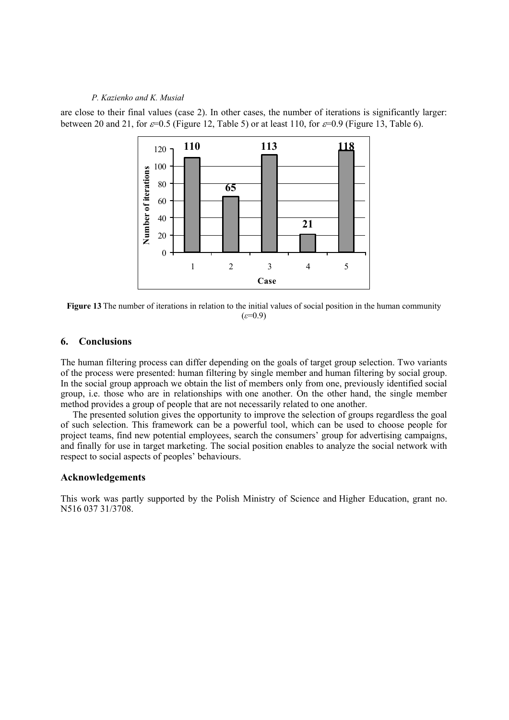are close to their final values (case 2). In other cases, the number of iterations is significantly larger: between 20 and 21, for  $\varepsilon$ =0.5 (Figure 12, Table 5) or at least 110, for  $\varepsilon$ =0.9 (Figure 13, Table 6).



**Figure 13** The number of iterations in relation to the initial values of social position in the human community (*ε*=0.9)

# **6. Conclusions**

The human filtering process can differ depending on the goals of target group selection. Two variants of the process were presented: human filtering by single member and human filtering by social group. In the social group approach we obtain the list of members only from one, previously identified social group, i.e. those who are in relationships with one another. On the other hand, the single member method provides a group of people that are not necessarily related to one another.

The presented solution gives the opportunity to improve the selection of groups regardless the goal of such selection. This framework can be a powerful tool, which can be used to choose people for project teams, find new potential employees, search the consumers' group for advertising campaigns, and finally for use in target marketing. The social position enables to analyze the social network with respect to social aspects of peoples' behaviours.

## **Acknowledgements**

This work was partly supported by the Polish Ministry of Science and Higher Education, grant no. N516 037 31/3708.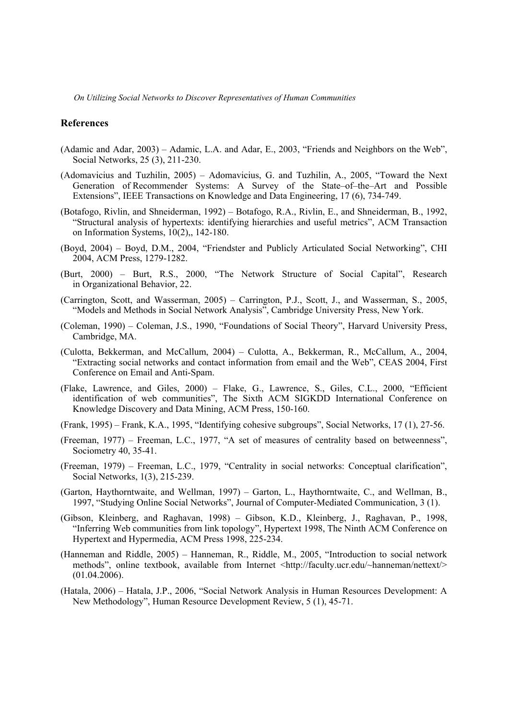## **References**

- (Adamic and Adar, 2003) Adamic, L.A. and Adar, E., 2003, "Friends and Neighbors on the Web", Social Networks, 25 (3), 211-230.
- (Adomavicius and Tuzhilin, 2005) Adomavicius, G. and Tuzhilin, A., 2005, "Toward the Next Generation of Recommender Systems: A Survey of the State–of–the–Art and Possible Extensions", IEEE Transactions on Knowledge and Data Engineering, 17 (6), 734-749.
- (Botafogo, Rivlin, and Shneiderman, 1992) Botafogo, R.A., Rivlin, E., and Shneiderman, B., 1992, "Structural analysis of hypertexts: identifying hierarchies and useful metrics", ACM Transaction on Information Systems, 10(2),, 142-180.
- (Boyd, 2004) Boyd, D.M., 2004, "Friendster and Publicly Articulated Social Networking", CHI 2004, ACM Press, 1279-1282.
- (Burt, 2000) Burt, R.S., 2000, "The Network Structure of Social Capital", Research in Organizational Behavior, 22.
- (Carrington, Scott, and Wasserman, 2005) Carrington, P.J., Scott, J., and Wasserman, S., 2005, "Models and Methods in Social Network Analysis", Cambridge University Press, New York.
- (Coleman, 1990) Coleman, J.S., 1990, "Foundations of Social Theory", Harvard University Press, Cambridge, MA.
- (Culotta, Bekkerman, and McCallum, 2004) Culotta, A., Bekkerman, R., McCallum, A., 2004, "Extracting social networks and contact information from email and the Web", CEAS 2004, First Conference on Email and Anti-Spam.
- (Flake, Lawrence, and Giles, 2000) Flake, G., Lawrence, S., Giles, C.L., 2000, "Efficient identification of web communities", The Sixth ACM SIGKDD International Conference on Knowledge Discovery and Data Mining, ACM Press, 150-160.
- (Frank, 1995) Frank, K.A., 1995, "Identifying cohesive subgroups", Social Networks, 17 (1), 27-56.
- (Freeman, 1977) Freeman, L.C., 1977, "A set of measures of centrality based on betweenness", Sociometry 40, 35-41.
- (Freeman, 1979) Freeman, L.C., 1979, "Centrality in social networks: Conceptual clarification", Social Networks, 1(3), 215-239.
- (Garton, Haythorntwaite, and Wellman, 1997) Garton, L., Haythorntwaite, C., and Wellman, B., 1997, "Studying Online Social Networks", Journal of Computer-Mediated Communication, 3 (1).
- (Gibson, Kleinberg, and Raghavan, 1998) Gibson, K.D., Kleinberg, J., Raghavan, P., 1998, "Inferring Web communities from link topology", Hypertext 1998, The Ninth ACM Conference on Hypertext and Hypermedia, ACM Press 1998, 225-234.
- (Hanneman and Riddle, 2005) Hanneman, R., Riddle, M., 2005, "Introduction to social network methods", online textbook, available from Internet <http://faculty.ucr.edu/~hanneman/nettext/> (01.04.2006).
- (Hatala, 2006) Hatala, J.P., 2006, "Social Network Analysis in Human Resources Development: A New Methodology", Human Resource Development Review, 5 (1), 45-71.